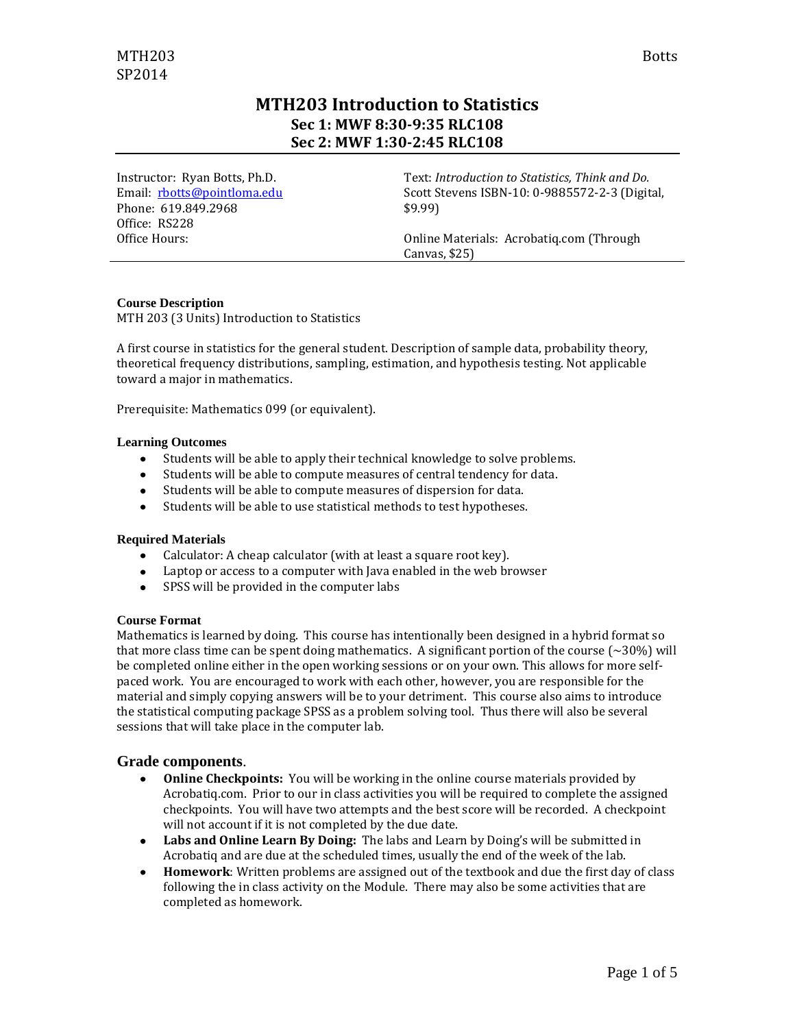# **MTH203 Introduction to Statistics Sec 1: MWF 8:30-9:35 RLC108 Sec 2: MWF 1:30-2:45 RLC108**

Instructor: Ryan Botts, Ph.D. Email: [rbotts@pointloma.edu](mailto:rbotts@pointloma.edu) Phone: 619.849.2968 Office: RS228 Office Hours:

Text: *Introduction to Statistics, Think and Do.* Scott Stevens ISBN-10: 0-9885572-2-3 (Digital, \$9.99)

Online Materials: Acrobatiq.com (Through Canvas, \$25)

### **Course Description**

MTH 203 (3 Units) Introduction to Statistics

A first course in statistics for the general student. Description of sample data, probability theory, theoretical frequency distributions, sampling, estimation, and hypothesis testing. Not applicable toward a major in mathematics.

Prerequisite: Mathematics 099 (or equivalent).

#### **Learning Outcomes**

- Students will be able to apply their technical knowledge to solve problems.
- Students will be able to compute measures of central tendency for data.
- Students will be able to compute measures of dispersion for data.
- Students will be able to use statistical methods to test hypotheses.

#### **Required Materials**

- Calculator: A cheap calculator (with at least a square root key).
- Laptop or access to a computer with Java enabled in the web browser
- SPSS will be provided in the computer labs

#### **Course Format**

Mathematics is learned by doing. This course has intentionally been designed in a hybrid format so that more class time can be spent doing mathematics. A significant portion of the course  $\sim$  30%) will be completed online either in the open working sessions or on your own. This allows for more selfpaced work. You are encouraged to work with each other, however, you are responsible for the material and simply copying answers will be to your detriment. This course also aims to introduce the statistical computing package SPSS as a problem solving tool. Thus there will also be several sessions that will take place in the computer lab.

# **Grade components**.

- **Online Checkpoints:** You will be working in the online course materials provided by Acrobatiq.com. Prior to our in class activities you will be required to complete the assigned checkpoints. You will have two attempts and the best score will be recorded. A checkpoint will not account if it is not completed by the due date.
- **Labs and Online Learn By Doing:** The labs and Learn by Doing's will be submitted in Acrobatiq and are due at the scheduled times, usually the end of the week of the lab.
- **Homework**: Written problems are assigned out of the textbook and due the first day of class  $\bullet$ following the in class activity on the Module. There may also be some activities that are completed as homework.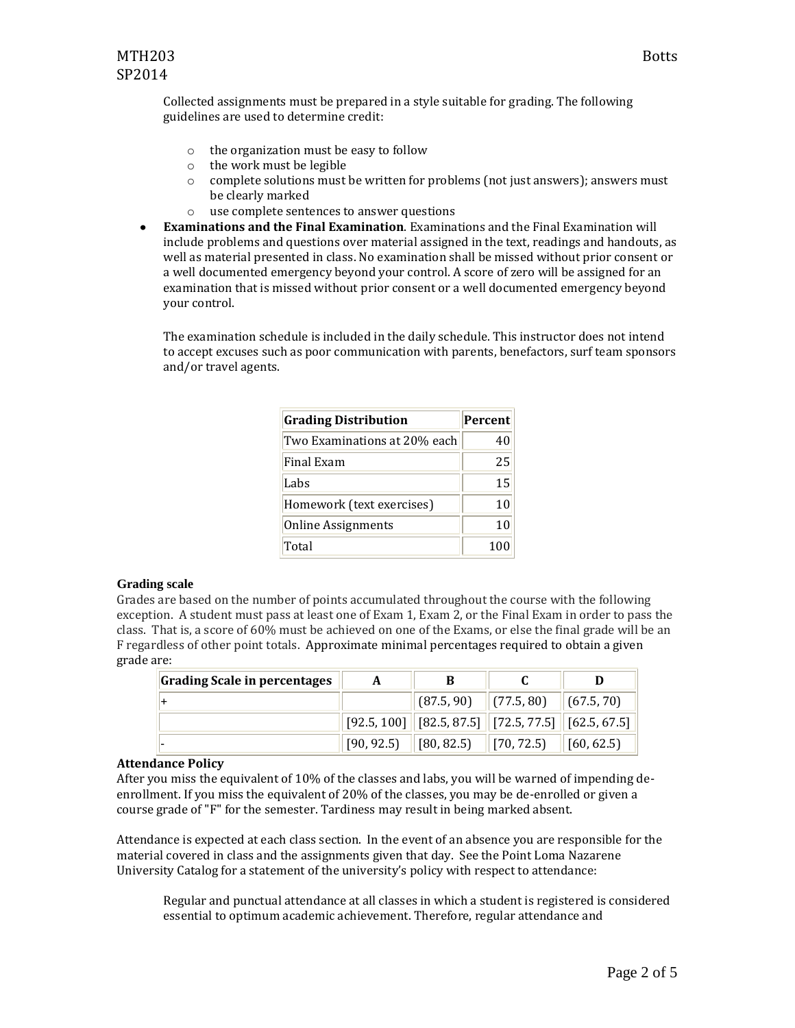Collected assignments must be prepared in a style suitable for grading. The following guidelines are used to determine credit:

- o the organization must be easy to follow
- o the work must be legible
- $\circ$  complete solutions must be written for problems (not just answers); answers must be clearly marked
- o use complete sentences to answer questions
- $\bullet$ **Examinations and the Final Examination**. Examinations and the Final Examination will include problems and questions over material assigned in the text, readings and handouts, as well as material presented in class. No examination shall be missed without prior consent or a well documented emergency beyond your control. A score of zero will be assigned for an examination that is missed without prior consent or a well documented emergency beyond your control.

The examination schedule is included in the daily schedule. This instructor does not intend to accept excuses such as poor communication with parents, benefactors, surf team sponsors and/or travel agents.

| <b>Grading Distribution</b>  | <b>Percent</b> |
|------------------------------|----------------|
| Two Examinations at 20% each | 40             |
| Final Exam                   | 25             |
| Labs                         | 15             |
| Homework (text exercises)    | 10             |
| <b>Online Assignments</b>    | 10             |
| Total                        | 100            |

#### **Grading scale**

Grades are based on the number of points accumulated throughout the course with the following exception. A student must pass at least one of Exam 1, Exam 2, or the Final Exam in order to pass the class. That is, a score of 60% must be achieved on one of the Exams, or else the final grade will be an F regardless of other point totals. Approximate minimal percentages required to obtain a given grade are:

| <b>Grading Scale in percentages</b> | A |                                                                                                                                     |  |
|-------------------------------------|---|-------------------------------------------------------------------------------------------------------------------------------------|--|
| $\ddot{}$                           |   | $\left  \begin{array}{cc} (87.5, 90) \end{array} \right $ $(77.5, 80)$ $\left  \begin{array}{cc} (67.5, 70) \end{array} \right $    |  |
|                                     |   | $\ $ [92.5, 100] $\ $ [82.5, 87.5] $\ $ [72.5, 77.5] $\ $ [62.5, 67.5]                                                              |  |
| $\overline{\phantom{0}}$            |   | $\begin{array}{ c c c c c c c c c } \hline \end{array}$ [80, 82.5) $\begin{array}{ c c c c c c c c } \hline \end{array}$ [60, 62.5] |  |

#### **Attendance Policy**

After you miss the equivalent of 10% of the classes and labs, you will be warned of impending deenrollment. If you miss the equivalent of 20% of the classes, you may be de-enrolled or given a course grade of "F" for the semester. Tardiness may result in being marked absent.

Attendance is expected at each class section. In the event of an absence you are responsible for the material covered in class and the assignments given that day. See the Point Loma Nazarene University Catalog for a statement of the university's policy with respect to attendance:

Regular and punctual attendance at all classes in which a student is registered is considered essential to optimum academic achievement. Therefore, regular attendance and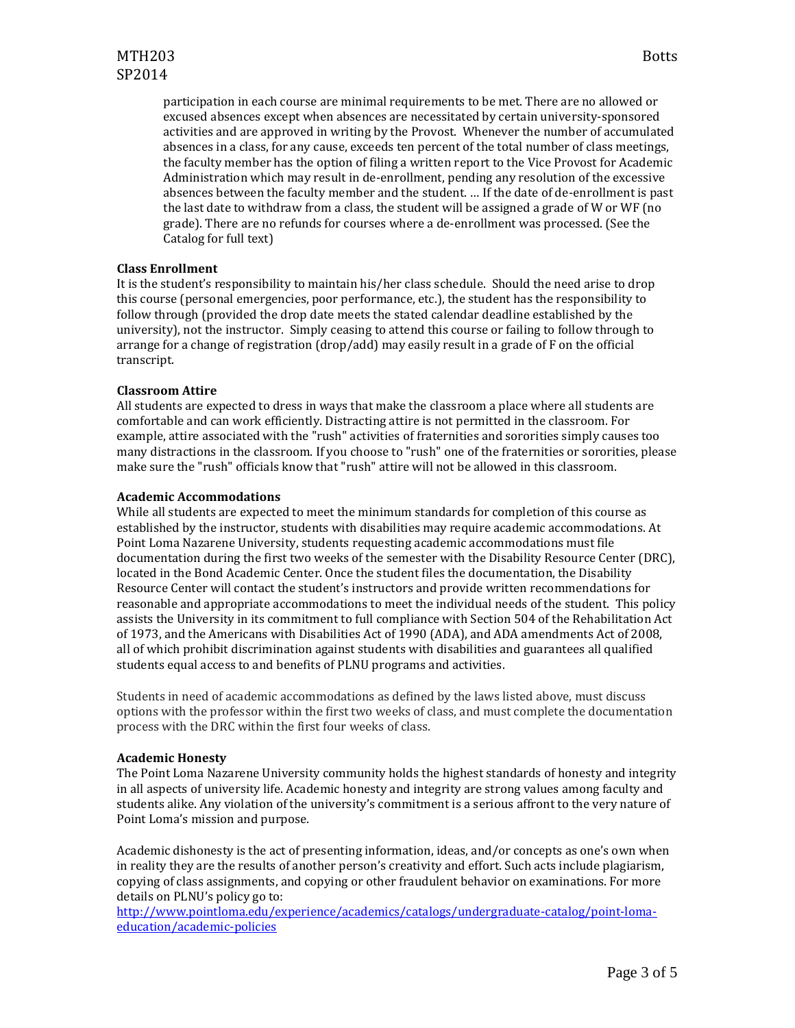participation in each course are minimal requirements to be met. There are no allowed or excused absences except when absences are necessitated by certain university-sponsored activities and are approved in writing by the Provost. Whenever the number of accumulated absences in a class, for any cause, exceeds ten percent of the total number of class meetings, the faculty member has the option of filing a written report to the Vice Provost for Academic Administration which may result in de-enrollment, pending any resolution of the excessive absences between the faculty member and the student. … If the date of de-enrollment is past the last date to withdraw from a class, the student will be assigned a grade of W or WF (no grade). There are no refunds for courses where a de-enrollment was processed. (See the Catalog for full text)

#### **Class Enrollment**

It is the student's responsibility to maintain his/her class schedule. Should the need arise to drop this course (personal emergencies, poor performance, etc.), the student has the responsibility to follow through (provided the drop date meets the stated calendar deadline established by the university), not the instructor. Simply ceasing to attend this course or failing to follow through to arrange for a change of registration (drop/add) may easily result in a grade of F on the official transcript.

#### **Classroom Attire**

All students are expected to dress in ways that make the classroom a place where all students are comfortable and can work efficiently. Distracting attire is not permitted in the classroom. For example, attire associated with the "rush" activities of fraternities and sororities simply causes too many distractions in the classroom. If you choose to "rush" one of the fraternities or sororities, please make sure the "rush" officials know that "rush" attire will not be allowed in this classroom.

#### **Academic Accommodations**

While all students are expected to meet the minimum standards for completion of this course as established by the instructor, students with disabilities may require academic accommodations. At Point Loma Nazarene University, students requesting academic accommodations must file documentation during the first two weeks of the semester with the Disability Resource Center (DRC), located in the Bond Academic Center. Once the student files the documentation, the Disability Resource Center will contact the student's instructors and provide written recommendations for reasonable and appropriate accommodations to meet the individual needs of the student. This policy assists the University in its commitment to full compliance with Section 504 of the Rehabilitation Act of 1973, and the Americans with Disabilities Act of 1990 (ADA), and ADA amendments Act of 2008, all of which prohibit discrimination against students with disabilities and guarantees all qualified students equal access to and benefits of PLNU programs and activities.

Students in need of academic accommodations as defined by the laws listed above, must discuss options with the professor within the first two weeks of class, and must complete the documentation process with the DRC within the first four weeks of class.

#### **Academic Honesty**

The Point Loma Nazarene University community holds the highest standards of honesty and integrity in all aspects of university life. Academic honesty and integrity are strong values among faculty and students alike. Any violation of the university's commitment is a serious affront to the very nature of Point Loma's mission and purpose.

Academic dishonesty is the act of presenting information, ideas, and/or concepts as one's own when in reality they are the results of another person's creativity and effort. Such acts include plagiarism, copying of class assignments, and copying or other fraudulent behavior on examinations. For more details on PLNU's policy go to:

[http://www.pointloma.edu/experience/academics/catalogs/undergraduate-catalog/point-loma](http://www.pointloma.edu/experience/academics/catalogs/undergraduate-catalog/point-loma-education/academic-policies)[education/academic-policies](http://www.pointloma.edu/experience/academics/catalogs/undergraduate-catalog/point-loma-education/academic-policies)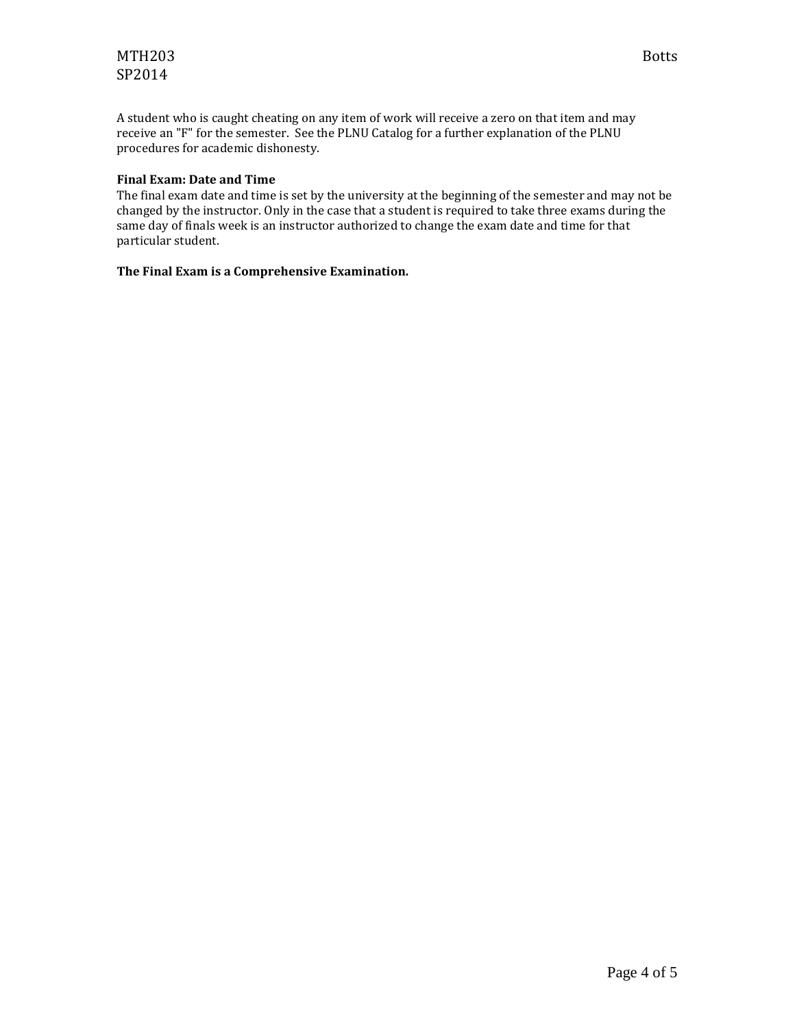# MTH203 Botts SP2014

A student who is caught cheating on any item of work will receive a zero on that item and may receive an "F" for the semester. See the PLNU Catalog for a further explanation of the PLNU procedures for academic dishonesty.

## **Final Exam: Date and Time**

The final exam date and time is set by the university at the beginning of the semester and may not be changed by the instructor. Only in the case that a student is required to take three exams during the same day of finals week is an instructor authorized to change the exam date and time for that particular student.

# **The Final Exam is a Comprehensive Examination.**